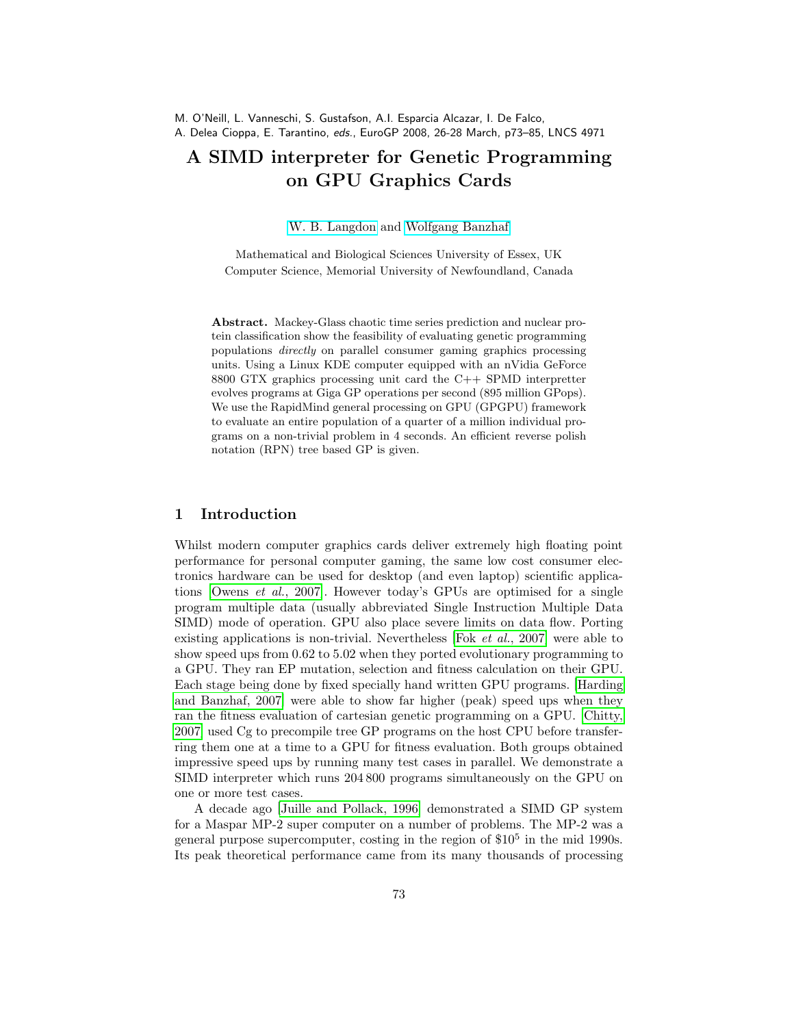# A SIMD interpreter for Genetic Programming on GPU Graphics Cards

[W. B. Langdon](http://www.cs.ucl.ac.uk/staff/W.Langdon) and [Wolfgang Banzhaf](http://www.cs.mun.ca/~banzhaf)

Mathematical and Biological Sciences University of Essex, UK Computer Science, Memorial University of Newfoundland, Canada

Abstract. Mackey-Glass chaotic time series prediction and nuclear protein classification show the feasibility of evaluating genetic programming populations directly on parallel consumer gaming graphics processing units. Using a Linux KDE computer equipped with an nVidia GeForce 8800 GTX graphics processing unit card the C++ SPMD interpretter evolves programs at Giga GP operations per second (895 million GPops). We use the RapidMind general processing on GPU (GPGPU) framework to evaluate an entire population of a quarter of a million individual programs on a non-trivial problem in 4 seconds. An efficient reverse polish notation (RPN) tree based GP is given.

# 1 Introduction

Whilst modern computer graphics cards deliver extremely high floating point performance for personal computer gaming, the same low cost consumer electronics hardware can be used for desktop (and even laptop) scientific applications [\[Owens](#page-12-0) et al., 2007]. However today's GPUs are optimised for a single program multiple data (usually abbreviated Single Instruction Multiple Data SIMD) mode of operation. GPU also place severe limits on data flow. Porting existing applications is non-trivial. Nevertheless Fok *et al.*, 2007 were able to show speed ups from 0.62 to 5.02 when they ported evolutionary programming to a GPU. They ran EP mutation, selection and fitness calculation on their GPU. Each stage being done by fixed specially hand written GPU programs. [\[Harding](#page-11-1) [and Banzhaf, 2007\]](#page-11-1) were able to show far higher (peak) speed ups when they ran the fitness evaluation of cartesian genetic programming on a GPU. [\[Chitty,](#page-11-2) [2007\]](#page-11-2) used Cg to precompile tree GP programs on the host CPU before transferring them one at a time to a GPU for fitness evaluation. Both groups obtained impressive speed ups by running many test cases in parallel. We demonstrate a SIMD interpreter which runs 204 800 programs simultaneously on the GPU on one or more test cases.

A decade ago [\[Juille and Pollack, 1996\]](#page-11-3) demonstrated a SIMD GP system for a Maspar MP-2 super computer on a number of problems. The MP-2 was a general purpose supercomputer, costing in the region of  $$10<sup>5</sup>$  in the mid 1990s. Its peak theoretical performance came from its many thousands of processing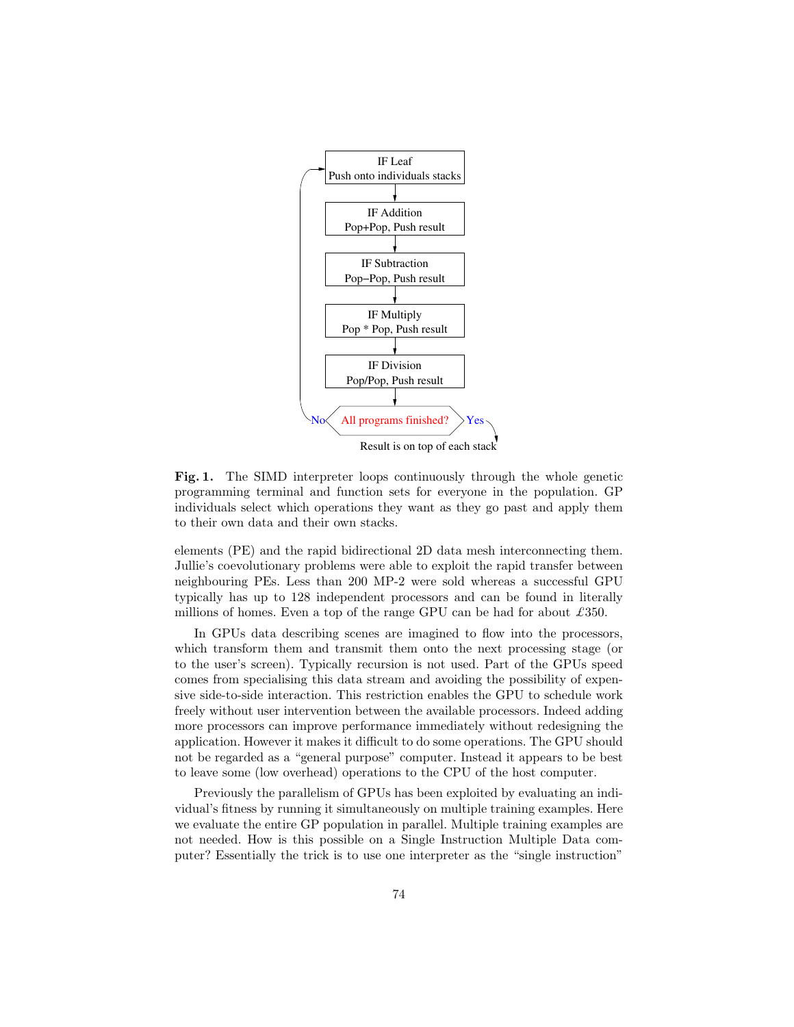

<span id="page-1-0"></span>Fig. 1. The SIMD interpreter loops continuously through the whole genetic programming terminal and function sets for everyone in the population. GP individuals select which operations they want as they go past and apply them to their own data and their own stacks.

elements (PE) and the rapid bidirectional 2D data mesh interconnecting them. Jullie's coevolutionary problems were able to exploit the rapid transfer between neighbouring PEs. Less than 200 MP-2 were sold whereas a successful GPU typically has up to 128 independent processors and can be found in literally millions of homes. Even a top of the range GPU can be had for about  $\pounds 350$ .

In GPUs data describing scenes are imagined to flow into the processors, which transform them and transmit them onto the next processing stage (or to the user's screen). Typically recursion is not used. Part of the GPUs speed comes from specialising this data stream and avoiding the possibility of expensive side-to-side interaction. This restriction enables the GPU to schedule work freely without user intervention between the available processors. Indeed adding more processors can improve performance immediately without redesigning the application. However it makes it difficult to do some operations. The GPU should not be regarded as a "general purpose" computer. Instead it appears to be best to leave some (low overhead) operations to the CPU of the host computer.

Previously the parallelism of GPUs has been exploited by evaluating an individual's fitness by running it simultaneously on multiple training examples. Here we evaluate the entire GP population in parallel. Multiple training examples are not needed. How is this possible on a Single Instruction Multiple Data computer? Essentially the trick is to use one interpreter as the "single instruction"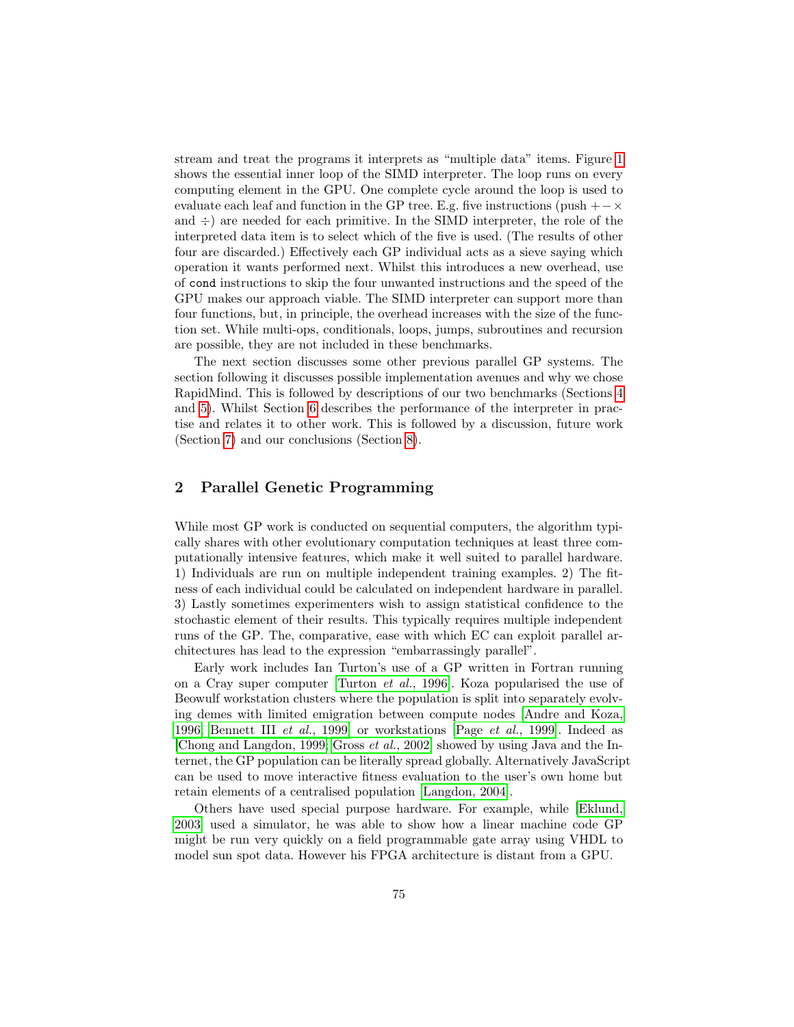stream and treat the programs it interprets as "multiple data" items. Figure [1](#page-1-0) shows the essential inner loop of the SIMD interpreter. The loop runs on every computing element in the GPU. One complete cycle around the loop is used to evaluate each leaf and function in the GP tree. E.g. five instructions (push  $+$  - $\times$ and  $\div$ ) are needed for each primitive. In the SIMD interpreter, the role of the interpreted data item is to select which of the five is used. (The results of other four are discarded.) Effectively each GP individual acts as a sieve saying which operation it wants performed next. Whilst this introduces a new overhead, use of cond instructions to skip the four unwanted instructions and the speed of the GPU makes our approach viable. The SIMD interpreter can support more than four functions, but, in principle, the overhead increases with the size of the function set. While multi-ops, conditionals, loops, jumps, subroutines and recursion are possible, they are not included in these benchmarks.

The next section discusses some other previous parallel GP systems. The section following it discusses possible implementation avenues and why we chose RapidMind. This is followed by descriptions of our two benchmarks (Sections [4](#page-4-0) and [5\)](#page-6-0). Whilst Section [6](#page-7-0) describes the performance of the interpreter in practise and relates it to other work. This is followed by a discussion, future work (Section [7\)](#page-8-0) and our conclusions (Section [8\)](#page-10-0).

# 2 Parallel Genetic Programming

While most GP work is conducted on sequential computers, the algorithm typically shares with other evolutionary computation techniques at least three computationally intensive features, which make it well suited to parallel hardware. 1) Individuals are run on multiple independent training examples. 2) The fitness of each individual could be calculated on independent hardware in parallel. 3) Lastly sometimes experimenters wish to assign statistical confidence to the stochastic element of their results. This typically requires multiple independent runs of the GP. The, comparative, ease with which EC can exploit parallel architectures has lead to the expression "embarrassingly parallel".

Early work includes Ian Turton's use of a GP written in Fortran running on a Cray super computer [\[Turton](#page-12-1) et al., 1996]. Koza popularised the use of Beowulf workstation clusters where the population is split into separately evolving demes with limited emigration between compute nodes [\[Andre and Koza,](#page-11-4) [1996;](#page-11-4) [Bennett III](#page-11-5) et al., 1999] or workstations [Page et al.[, 1999\]](#page-12-2). Indeed as [\[Chong and Langdon, 1999;](#page-11-6) Gross et al.[, 2002\]](#page-11-7) showed by using Java and the Internet, the GP population can be literally spread globally. Alternatively JavaScript can be used to move interactive fitness evaluation to the user's own home but retain elements of a centralised population [\[Langdon, 2004\]](#page-12-3).

Others have used special purpose hardware. For example, while [\[Eklund,](#page-11-8) [2003\]](#page-11-8) used a simulator, he was able to show how a linear machine code GP might be run very quickly on a field programmable gate array using VHDL to model sun spot data. However his FPGA architecture is distant from a GPU.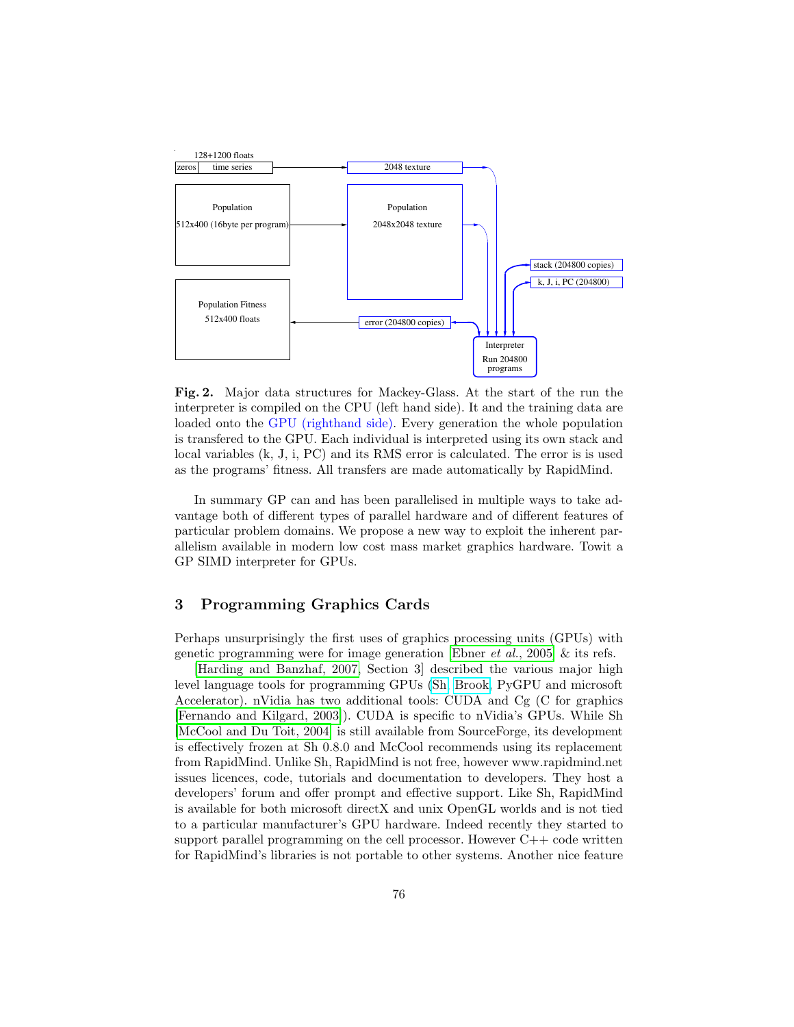

<span id="page-3-0"></span>Fig. 2. Major data structures for Mackey-Glass. At the start of the run the interpreter is compiled on the CPU (left hand side). It and the training data are loaded onto the GPU (righthand side). Every generation the whole population is transfered to the GPU. Each individual is interpreted using its own stack and local variables (k, J, i, PC) and its RMS error is calculated. The error is is used as the programs' fitness. All transfers are made automatically by RapidMind.

In summary GP can and has been parallelised in multiple ways to take advantage both of different types of parallel hardware and of different features of particular problem domains. We propose a new way to exploit the inherent parallelism available in modern low cost mass market graphics hardware. Towit a GP SIMD interpreter for GPUs.

# 3 Programming Graphics Cards

Perhaps unsurprisingly the first uses of graphics processing units (GPUs) with genetic programming were for image generation Ebner *et al.*, 2005 & its refs.

[\[Harding and Banzhaf, 2007,](#page-11-1) Section 3] described the various major high level language tools for programming GPUs [\(Sh,](http://libsh.org/) [Brook,](http://graphics.stanford.edu/projects/brookgpu/) PyGPU and microsoft Accelerator). nVidia has two additional tools: CUDA and Cg (C for graphics [\[Fernando and Kilgard, 2003\]](#page-11-10)). CUDA is specific to nVidia's GPUs. While Sh [\[McCool and Du Toit, 2004\]](#page-12-4) is still available from SourceForge, its development is effectively frozen at Sh 0.8.0 and McCool recommends using its replacement from RapidMind. Unlike Sh, RapidMind is not free, however www.rapidmind.net issues licences, code, tutorials and documentation to developers. They host a developers' forum and offer prompt and effective support. Like Sh, RapidMind is available for both microsoft directX and unix OpenGL worlds and is not tied to a particular manufacturer's GPU hardware. Indeed recently they started to support parallel programming on the cell processor. However  $C++$  code written for RapidMind's libraries is not portable to other systems. Another nice feature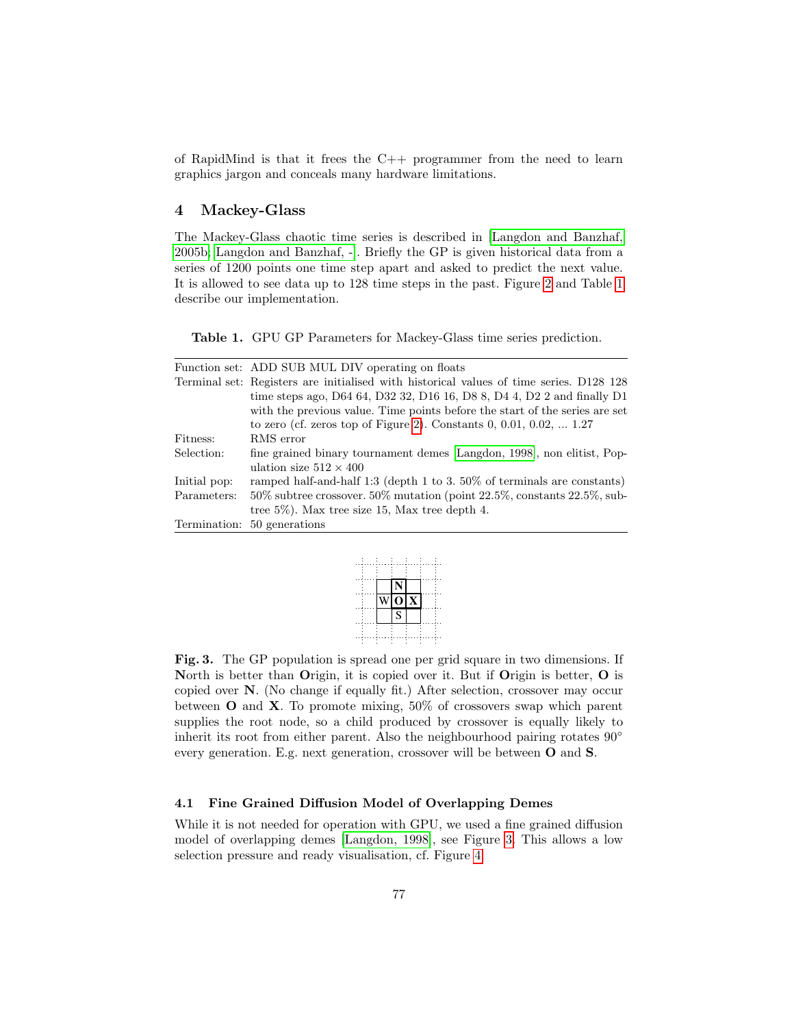of RapidMind is that it frees the C++ programmer from the need to learn graphics jargon and conceals many hardware limitations.

# <span id="page-4-0"></span>4 Mackey-Glass

The Mackey-Glass chaotic time series is described in [\[Langdon and Banzhaf,](#page-11-11) [2005b;](#page-11-11) [Langdon and Banzhaf, -\]](#page-11-12). Briefly the GP is given historical data from a series of 1200 points one time step apart and asked to predict the next value. It is allowed to see data up to 128 time steps in the past. Figure [2](#page-3-0) and Table [1](#page-4-1) describe our implementation.

<span id="page-4-1"></span>Table 1. GPU GP Parameters for Mackey-Glass time series prediction.

| Function set: ADD SUB MUL DIV operating on floats                                       |  |  |  |  |  |
|-----------------------------------------------------------------------------------------|--|--|--|--|--|
| Terminal set: Registers are initialised with historical values of time series. D128 128 |  |  |  |  |  |
| time steps ago, D64 64, D32 32, D16 16, D8 8, D4 4, D2 2 and finally D1                 |  |  |  |  |  |
| with the previous value. Time points before the start of the series are set             |  |  |  |  |  |
| to zero (cf. zeros top of Figure 2). Constants $0, 0.01, 0.02, \ldots 1.27$             |  |  |  |  |  |
| RMS error                                                                               |  |  |  |  |  |
| fine grained binary tournament demes [Langdon, 1998], non elitist, Pop-                 |  |  |  |  |  |
| ulation size $512 \times 400$                                                           |  |  |  |  |  |
| ramped half-and-half 1:3 (depth 1 to 3. $50\%$ of terminals are constants)              |  |  |  |  |  |
| $50\%$ subtree crossover. $50\%$ mutation (point $22.5\%$ , constants $22.5\%$ , sub-   |  |  |  |  |  |
| tree $5\%$ ). Max tree size 15, Max tree depth 4.                                       |  |  |  |  |  |
| Termination: 50 generations                                                             |  |  |  |  |  |
|                                                                                         |  |  |  |  |  |



<span id="page-4-2"></span>Fig. 3. The GP population is spread one per grid square in two dimensions. If North is better than Origin, it is copied over it. But if Origin is better, O is copied over N. (No change if equally fit.) After selection, crossover may occur between O and X. To promote mixing, 50% of crossovers swap which parent supplies the root node, so a child produced by crossover is equally likely to inherit its root from either parent. Also the neighbourhood pairing rotates  $90°$ every generation. E.g. next generation, crossover will be between O and S.

#### 4.1 Fine Grained Diffusion Model of Overlapping Demes

While it is not needed for operation with GPU, we used a fine grained diffusion model of overlapping demes [\[Langdon, 1998\]](#page-12-5), see Figure [3.](#page-4-2) This allows a low selection pressure and ready visualisation, cf. Figure [4.](#page-5-0)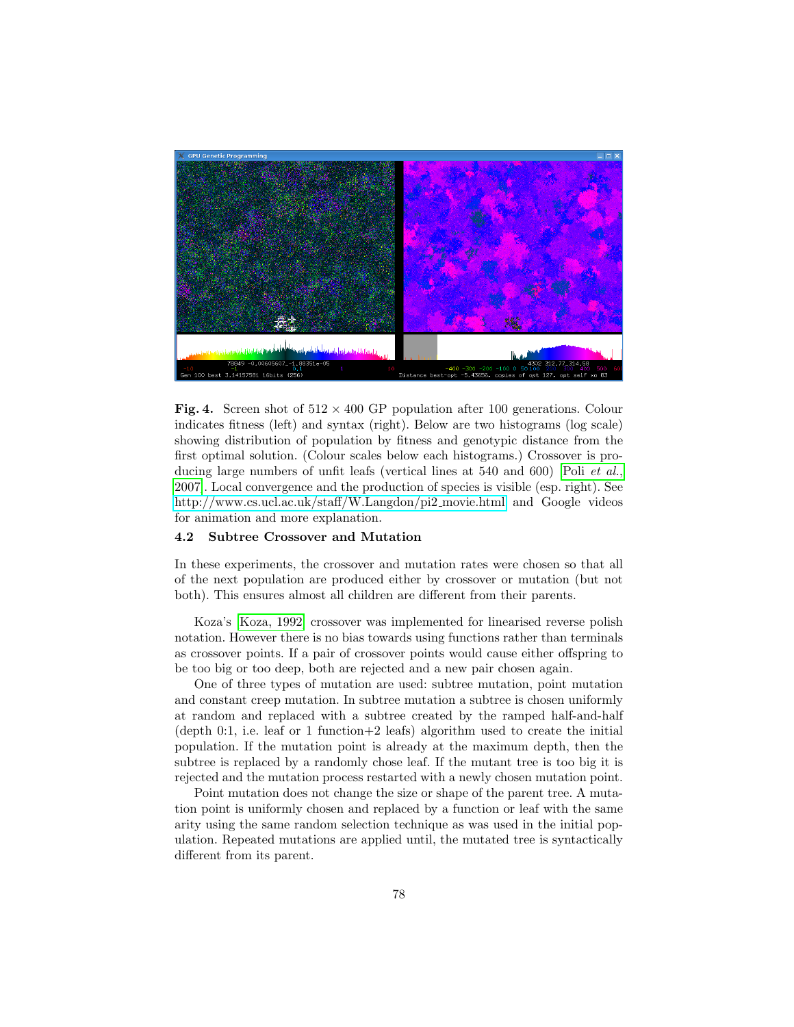

<span id="page-5-0"></span>Fig. 4. Screen shot of  $512 \times 400$  GP population after 100 generations. Colour indicates fitness (left) and syntax (right). Below are two histograms (log scale) showing distribution of population by fitness and genotypic distance from the first optimal solution. (Colour scales below each histograms.) Crossover is producing large numbers of unfit leafs (vertical lines at 540 and 600) [Poli *[et al.](#page-12-6)*, [2007\]](#page-12-6). Local convergence and the production of species is visible (esp. right). See [http://www.cs.ucl.ac.uk/staff/W.Langdon/pi2](http://www.cs.ucl.ac.uk/staff/W.Langdon/pi2_movie.html) movie.html and Google videos for animation and more explanation.

#### 4.2 Subtree Crossover and Mutation

In these experiments, the crossover and mutation rates were chosen so that all of the next population are produced either by crossover or mutation (but not both). This ensures almost all children are different from their parents.

Koza's [\[Koza, 1992\]](#page-11-13) crossover was implemented for linearised reverse polish notation. However there is no bias towards using functions rather than terminals as crossover points. If a pair of crossover points would cause either offspring to be too big or too deep, both are rejected and a new pair chosen again.

One of three types of mutation are used: subtree mutation, point mutation and constant creep mutation. In subtree mutation a subtree is chosen uniformly at random and replaced with a subtree created by the ramped half-and-half (depth 0:1, i.e. leaf or 1 function+2 leafs) algorithm used to create the initial population. If the mutation point is already at the maximum depth, then the subtree is replaced by a randomly chose leaf. If the mutant tree is too big it is rejected and the mutation process restarted with a newly chosen mutation point.

Point mutation does not change the size or shape of the parent tree. A mutation point is uniformly chosen and replaced by a function or leaf with the same arity using the same random selection technique as was used in the initial population. Repeated mutations are applied until, the mutated tree is syntactically different from its parent.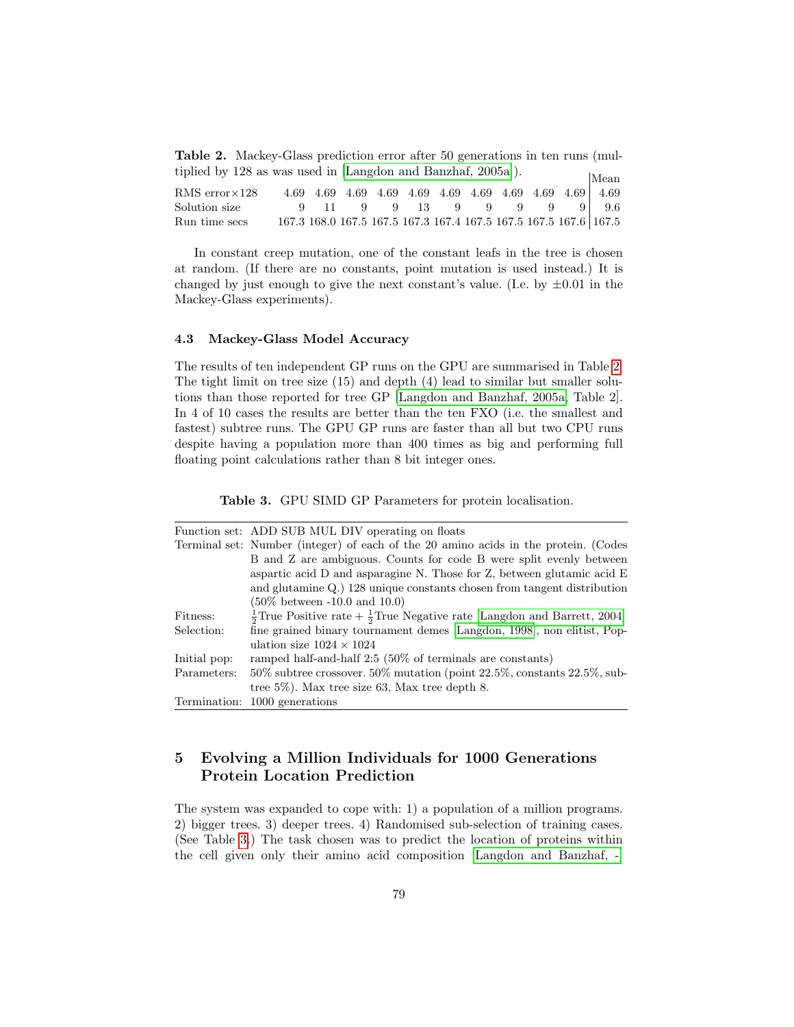<span id="page-6-1"></span>Table 2. Mackey-Glass prediction error after 50 generations in ten runs (mul-tiplied by 128 as was used in [\[Langdon and Banzhaf, 2005a\]](#page-11-14)).

|                      |  |  |  |  |  | <b>TATCOTT</b>                                                    |
|----------------------|--|--|--|--|--|-------------------------------------------------------------------|
| RMS $error\times128$ |  |  |  |  |  |                                                                   |
| Solution size        |  |  |  |  |  | 9 11 9 9 13 9 9 9 9 9 9 9 6                                       |
| Run time secs        |  |  |  |  |  | 167.3 168.0 167.5 167.5 167.3 167.4 167.5 167.5 167.5 167.6 167.5 |

In constant creep mutation, one of the constant leafs in the tree is chosen at random. (If there are no constants, point mutation is used instead.) It is changed by just enough to give the next constant's value. (I.e. by  $\pm 0.01$  in the Mackey-Glass experiments).

### 4.3 Mackey-Glass Model Accuracy

The results of ten independent GP runs on the GPU are summarised in Table [2.](#page-6-1) The tight limit on tree size (15) and depth (4) lead to similar but smaller solutions than those reported for tree GP [\[Langdon and Banzhaf, 2005a,](#page-11-14) Table 2]. In 4 of 10 cases the results are better than the ten FXO (i.e. the smallest and fastest) subtree runs. The GPU GP runs are faster than all but two CPU runs despite having a population more than 400 times as big and performing full floating point calculations rather than 8 bit integer ones.

<span id="page-6-2"></span>Table 3. GPU SIMD GP Parameters for protein localisation.

|              | Function set: ADD SUB MUL DIV operating on floats                                               |
|--------------|-------------------------------------------------------------------------------------------------|
|              | Terminal set: Number (integer) of each of the 20 amino acids in the protein. (Codes             |
|              | B and Z are ambiguous. Counts for code B were split evenly between                              |
|              | aspartic acid $D$ and asparagine N. Those for $Z$ , between glutamic acid $E$                   |
|              | and glutamine Q.) 128 unique constants chosen from tangent distribution                         |
|              | $(50\% \text{ between } -10.0 \text{ and } 10.0)$                                               |
| Fitness:     | $\frac{1}{2}$ True Positive rate + $\frac{1}{2}$ True Negative rate [Langdon and Barrett, 2004] |
| Selection:   | fine grained binary tournament demes [Langdon, 1998], non elitist, Pop-                         |
|              | ulation size $1024 \times 1024$                                                                 |
| Initial pop: | ramped half-and-half 2:5 (50% of terminals are constants)                                       |
| Parameters:  | 50% subtree crossover. 50% mutation (point 22.5%, constants 22.5%, sub-                         |
|              | tree $5\%$ ). Max tree size 63, Max tree depth 8.                                               |
|              | Termination: 1000 generations                                                                   |

# <span id="page-6-0"></span>5 Evolving a Million Individuals for 1000 Generations Protein Location Prediction

The system was expanded to cope with: 1) a population of a million programs. 2) bigger trees. 3) deeper trees. 4) Randomised sub-selection of training cases. (See Table [3.](#page-6-2)) The task chosen was to predict the location of proteins within the cell given only their amino acid composition [\[Langdon and Banzhaf, -\]](#page-11-12)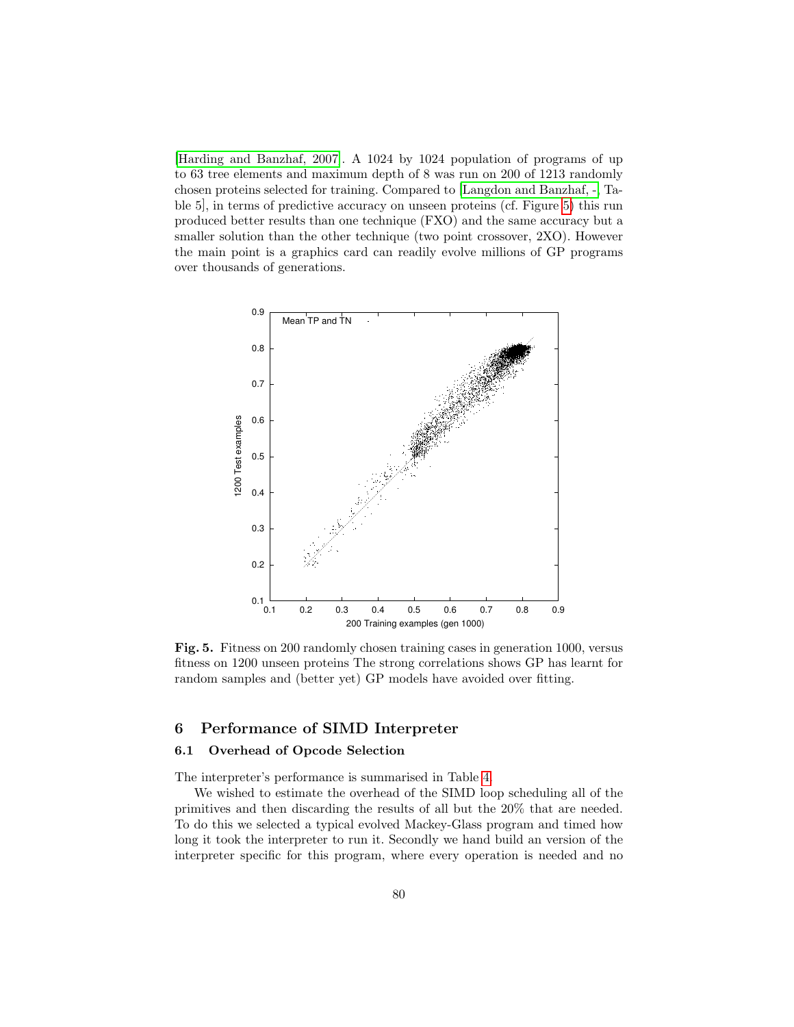[\[Harding and Banzhaf, 2007\]](#page-11-1). A 1024 by 1024 population of programs of up to 63 tree elements and maximum depth of 8 was run on 200 of 1213 randomly chosen proteins selected for training. Compared to [\[Langdon and Banzhaf, -,](#page-11-12) Table 5], in terms of predictive accuracy on unseen proteins (cf. Figure [5\)](#page-7-1) this run produced better results than one technique (FXO) and the same accuracy but a smaller solution than the other technique (two point crossover, 2XO). However the main point is a graphics card can readily evolve millions of GP programs over thousands of generations.



<span id="page-7-1"></span>Fig. 5. Fitness on 200 randomly chosen training cases in generation 1000, versus fitness on 1200 unseen proteins The strong correlations shows GP has learnt for random samples and (better yet) GP models have avoided over fitting.

# <span id="page-7-0"></span>6 Performance of SIMD Interpreter

## 6.1 Overhead of Opcode Selection

The interpreter's performance is summarised in Table [4.](#page-8-1)

We wished to estimate the overhead of the SIMD loop scheduling all of the primitives and then discarding the results of all but the 20% that are needed. To do this we selected a typical evolved Mackey-Glass program and timed how long it took the interpreter to run it. Secondly we hand build an version of the interpreter specific for this program, where every operation is needed and no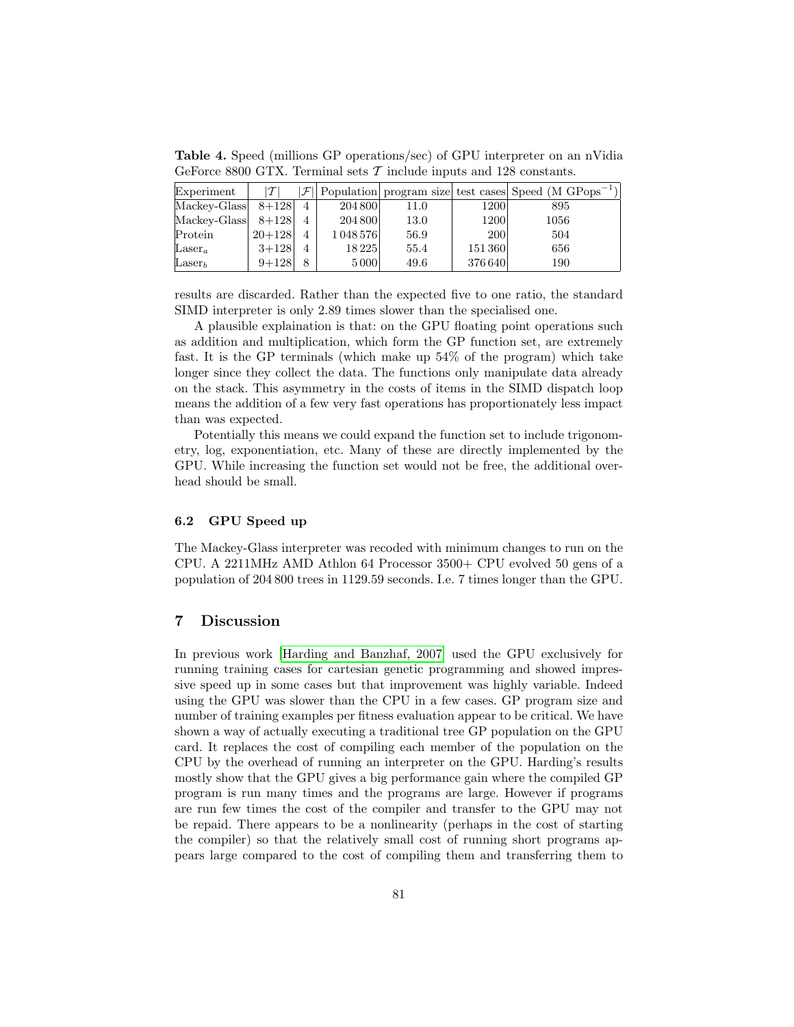<span id="page-8-1"></span>Table 4. Speed (millions GP operations/sec) of GPU interpreter on an nVidia GeForce 8800 GTX. Terminal sets  $\mathcal T$  include inputs and 128 constants.

| Experiment       | $\tau$    |                |         |      |         | $ \mathcal{F} $ Population program size test cases Speed (M GPops <sup>-1</sup> ) |
|------------------|-----------|----------------|---------|------|---------|-----------------------------------------------------------------------------------|
| Mackey-Glass     | $8 + 128$ | $\overline{4}$ | 204 800 | 11.0 | 1200    | 895                                                                               |
| Mackey-Glass     | $8 + 128$ | $\overline{4}$ | 204 800 | 13.0 | 1200    | 1056                                                                              |
| Protein          | $20+128$  | $\overline{4}$ | 1048576 | 56.9 | 200     | 504                                                                               |
| $\text{Laser}_a$ | $3+128$   | $\overline{4}$ | 18225   | 55.4 | 151 360 | 656                                                                               |
| $\text{Laser}_h$ | $9 + 128$ | 8              | 5 0 0 0 | 49.6 | 376 640 | 190                                                                               |

results are discarded. Rather than the expected five to one ratio, the standard SIMD interpreter is only 2.89 times slower than the specialised one.

A plausible explaination is that: on the GPU floating point operations such as addition and multiplication, which form the GP function set, are extremely fast. It is the GP terminals (which make up 54% of the program) which take longer since they collect the data. The functions only manipulate data already on the stack. This asymmetry in the costs of items in the SIMD dispatch loop means the addition of a few very fast operations has proportionately less impact than was expected.

Potentially this means we could expand the function set to include trigonometry, log, exponentiation, etc. Many of these are directly implemented by the GPU. While increasing the function set would not be free, the additional overhead should be small.

## 6.2 GPU Speed up

The Mackey-Glass interpreter was recoded with minimum changes to run on the CPU. A 2211MHz AMD Athlon 64 Processor 3500+ CPU evolved 50 gens of a population of 204 800 trees in 1129.59 seconds. I.e. 7 times longer than the GPU.

# <span id="page-8-0"></span>7 Discussion

In previous work [\[Harding and Banzhaf, 2007\]](#page-11-1) used the GPU exclusively for running training cases for cartesian genetic programming and showed impressive speed up in some cases but that improvement was highly variable. Indeed using the GPU was slower than the CPU in a few cases. GP program size and number of training examples per fitness evaluation appear to be critical. We have shown a way of actually executing a traditional tree GP population on the GPU card. It replaces the cost of compiling each member of the population on the CPU by the overhead of running an interpreter on the GPU. Harding's results mostly show that the GPU gives a big performance gain where the compiled GP program is run many times and the programs are large. However if programs are run few times the cost of the compiler and transfer to the GPU may not be repaid. There appears to be a nonlinearity (perhaps in the cost of starting the compiler) so that the relatively small cost of running short programs appears large compared to the cost of compiling them and transferring them to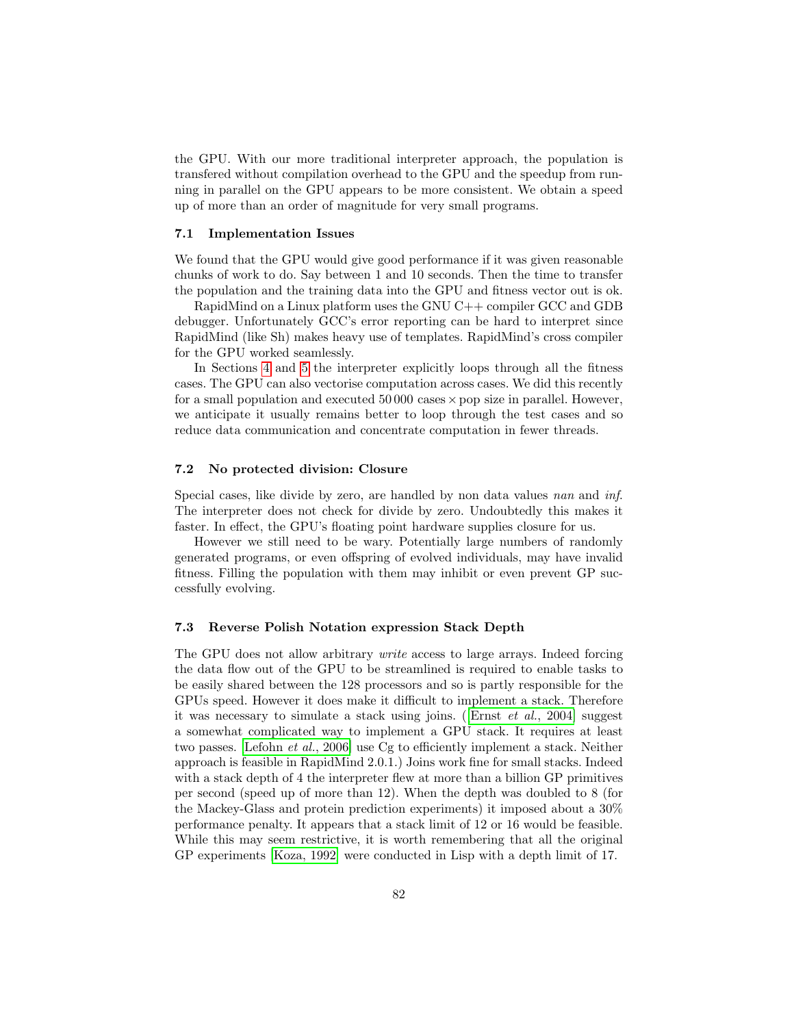the GPU. With our more traditional interpreter approach, the population is transfered without compilation overhead to the GPU and the speedup from running in parallel on the GPU appears to be more consistent. We obtain a speed up of more than an order of magnitude for very small programs.

#### 7.1 Implementation Issues

We found that the GPU would give good performance if it was given reasonable chunks of work to do. Say between 1 and 10 seconds. Then the time to transfer the population and the training data into the GPU and fitness vector out is ok.

RapidMind on a Linux platform uses the GNU C++ compiler GCC and GDB debugger. Unfortunately GCC's error reporting can be hard to interpret since RapidMind (like Sh) makes heavy use of templates. RapidMind's cross compiler for the GPU worked seamlessly.

In Sections [4](#page-4-0) and [5](#page-6-0) the interpreter explicitly loops through all the fitness cases. The GPU can also vectorise computation across cases. We did this recently for a small population and executed  $50000$  cases  $\times$  pop size in parallel. However, we anticipate it usually remains better to loop through the test cases and so reduce data communication and concentrate computation in fewer threads.

### 7.2 No protected division: Closure

Special cases, like divide by zero, are handled by non data values nan and inf. The interpreter does not check for divide by zero. Undoubtedly this makes it faster. In effect, the GPU's floating point hardware supplies closure for us.

However we still need to be wary. Potentially large numbers of randomly generated programs, or even offspring of evolved individuals, may have invalid fitness. Filling the population with them may inhibit or even prevent GP successfully evolving.

#### 7.3 Reverse Polish Notation expression Stack Depth

The GPU does not allow arbitrary write access to large arrays. Indeed forcing the data flow out of the GPU to be streamlined is required to enable tasks to be easily shared between the 128 processors and so is partly responsible for the GPUs speed. However it does make it difficult to implement a stack. Therefore it was necessary to simulate a stack using joins. (Ernst *et al.*, 2004) suggest a somewhat complicated way to implement a GPU stack. It requires at least two passes. [\[Lefohn](#page-12-8) et al., 2006] use Cg to efficiently implement a stack. Neither approach is feasible in RapidMind 2.0.1.) Joins work fine for small stacks. Indeed with a stack depth of 4 the interpreter flew at more than a billion GP primitives per second (speed up of more than 12). When the depth was doubled to 8 (for the Mackey-Glass and protein prediction experiments) it imposed about a 30% performance penalty. It appears that a stack limit of 12 or 16 would be feasible. While this may seem restrictive, it is worth remembering that all the original GP experiments [\[Koza, 1992\]](#page-11-13) were conducted in Lisp with a depth limit of 17.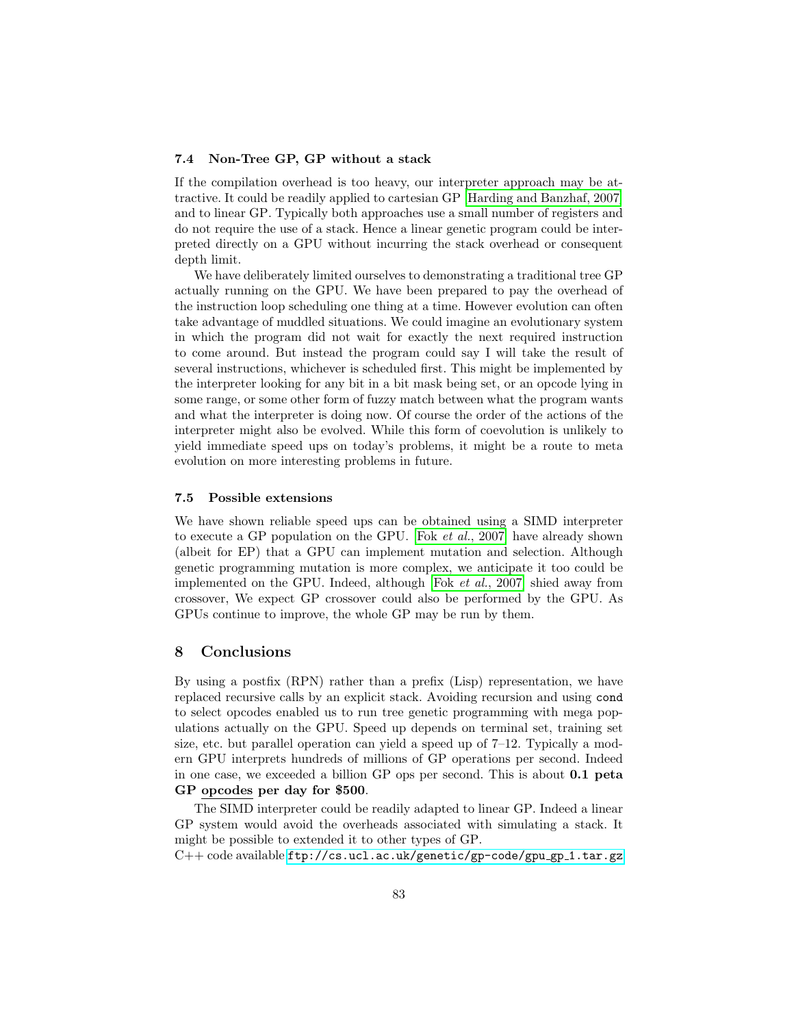#### 7.4 Non-Tree GP, GP without a stack

If the compilation overhead is too heavy, our interpreter approach may be attractive. It could be readily applied to cartesian GP [\[Harding and Banzhaf, 2007\]](#page-11-1) and to linear GP. Typically both approaches use a small number of registers and do not require the use of a stack. Hence a linear genetic program could be interpreted directly on a GPU without incurring the stack overhead or consequent depth limit.

We have deliberately limited ourselves to demonstrating a traditional tree GP actually running on the GPU. We have been prepared to pay the overhead of the instruction loop scheduling one thing at a time. However evolution can often take advantage of muddled situations. We could imagine an evolutionary system in which the program did not wait for exactly the next required instruction to come around. But instead the program could say I will take the result of several instructions, whichever is scheduled first. This might be implemented by the interpreter looking for any bit in a bit mask being set, or an opcode lying in some range, or some other form of fuzzy match between what the program wants and what the interpreter is doing now. Of course the order of the actions of the interpreter might also be evolved. While this form of coevolution is unlikely to yield immediate speed ups on today's problems, it might be a route to meta evolution on more interesting problems in future.

#### 7.5 Possible extensions

We have shown reliable speed ups can be obtained using a SIMD interpreter to execute a GP population on the GPU. [Fok et al.[, 2007\]](#page-11-0) have already shown (albeit for EP) that a GPU can implement mutation and selection. Although genetic programming mutation is more complex, we anticipate it too could be implemented on the GPU. Indeed, although [Fok et al.[, 2007\]](#page-11-0) shied away from crossover, We expect GP crossover could also be performed by the GPU. As GPUs continue to improve, the whole GP may be run by them.

# <span id="page-10-0"></span>8 Conclusions

By using a postfix (RPN) rather than a prefix (Lisp) representation, we have replaced recursive calls by an explicit stack. Avoiding recursion and using cond to select opcodes enabled us to run tree genetic programming with mega populations actually on the GPU. Speed up depends on terminal set, training set size, etc. but parallel operation can yield a speed up of 7–12. Typically a modern GPU interprets hundreds of millions of GP operations per second. Indeed in one case, we exceeded a billion GP ops per second. This is about 0.1 peta GP opcodes per day for \$500.

The SIMD interpreter could be readily adapted to linear GP. Indeed a linear GP system would avoid the overheads associated with simulating a stack. It might be possible to extended it to other types of GP.

C++ code available [ftp://cs.ucl.ac.uk/genetic/gp-code/gpu](http://www.cs.ucl.ac.uk/staff/W.Langdon/ftp/gp-code/gpu_gp_1.tar.gz)\_gp\_1.tar.gz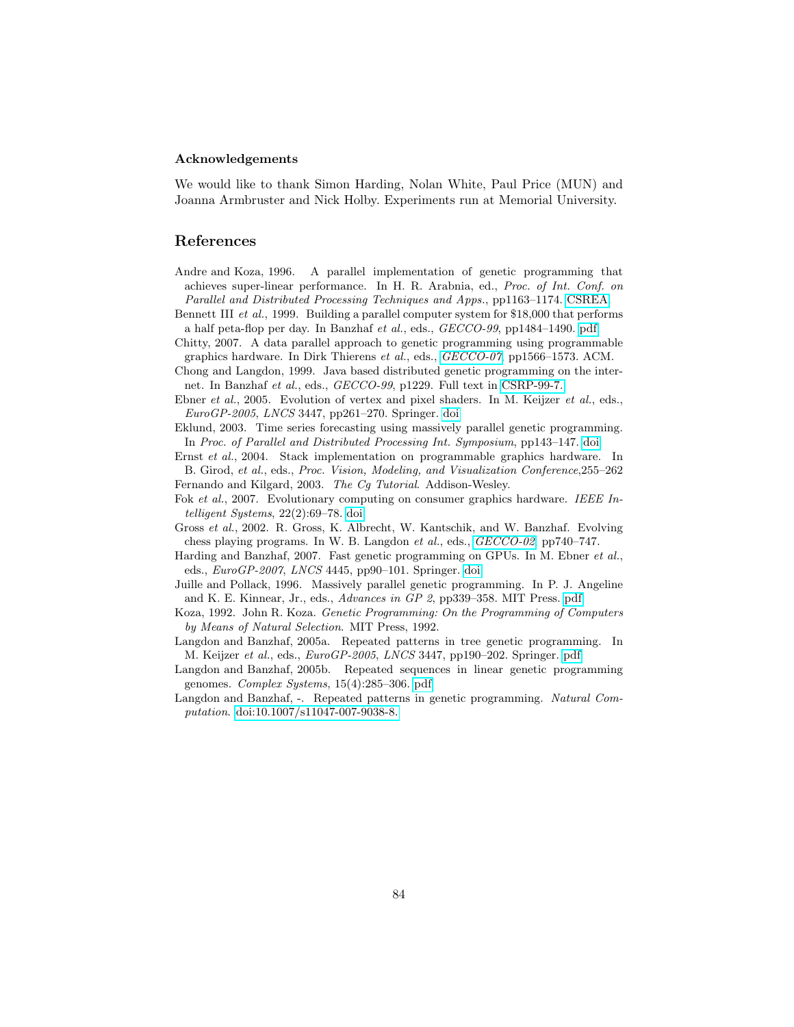#### Acknowledgements

We would like to thank Simon Harding, Nolan White, Paul Price (MUN) and Joanna Armbruster and Nick Holby. Experiments run at Memorial University.

# References

- <span id="page-11-4"></span>Andre and Koza, 1996. A parallel implementation of genetic programming that achieves super-linear performance. In H. R. Arabnia, ed., Proc. of Int. Conf. on Parallel and Distributed Processing Techniques and Apps., pp1163–1174. [CSREA.](http://www.cs.bham.ac.uk/~wbl/biblio/gp-html/andre_1996_parGP.html)
- <span id="page-11-5"></span>Bennett III et al., 1999. Building a parallel computer system for \$18,000 that performs a half peta-flop per day. In Banzhaf et al., eds., GECCO-99, pp1484–1490. [pdf](http://www.cs.bham.ac.uk/~wbl/biblio/gecco1999/RW-788.pdf)
- <span id="page-11-2"></span>Chitty, 2007. A data parallel approach to genetic programming using programmable graphics hardware. In Dirk Thierens et al., eds., [GECCO-07](http://www.cs.bham.ac.uk/~wbl/biblio/gecco2007/docs/p1566.pdf), pp1566-1573. ACM.
- <span id="page-11-6"></span>Chong and Langdon, 1999. Java based distributed genetic programming on the internet. In Banzhaf et al., eds., GECCO-99, p1229. Full text in [CSRP-99-7.](ftp://ftp.cs.bham.ac.uk/pub/tech-reports/1999/CSRP-99-07.ps.gz)
- <span id="page-11-9"></span>Ebner et al., 2005. Evolution of vertex and pixel shaders. In M. Keijzer et al., eds., EuroGP-2005, LNCS 3447, pp261–270. Springer. [doi](http://dx.doi.org/doi:10.1007/b107383)
- <span id="page-11-8"></span>Eklund, 2003. Time series forecasting using massively parallel genetic programming. In Proc. of Parallel and Distributed Processing Int. Symposium, pp143–147. [doi](http://dx.doi.org/doi:10.1109/IPDPS.2003.1213272)
- <span id="page-11-15"></span>Ernst et al., 2004. Stack implementation on programmable graphics hardware. In B. Girod, et al., eds., Proc. Vision, Modeling, and Visualization Conference,255–262 Fernando and Kilgard, 2003. The Cg Tutorial. Addison-Wesley.
- <span id="page-11-10"></span><span id="page-11-0"></span>Fok et al., 2007. Evolutionary computing on consumer graphics hardware. IEEE Intelligent Systems, 22(2):69–78. [doi](http://dx.doi.org/doi:10.1109/MIS.2007.28)
- <span id="page-11-7"></span>Gross et al., 2002. R. Gross, K. Albrecht, W. Kantschik, and W. Banzhaf. Evolving chess playing programs. In W. B. Langdon et al., eds., [GECCO-02](http://www.cs.bham.ac.uk/~wbl/biblio/gecco2002/GP121.pdf), pp740-747.
- <span id="page-11-1"></span>Harding and Banzhaf, 2007. Fast genetic programming on GPUs. In M. Ebner et al., eds., EuroGP-2007, LNCS 4445, pp90–101. Springer. [doi](http://dx.doi.org/doi:10.1007/978-3-540-71605-1_9)
- <span id="page-11-3"></span>Juille and Pollack, 1996. Massively parallel genetic programming. In P. J. Angeline and K. E. Kinnear, Jr., eds., Advances in GP 2, pp339–358. MIT Press. [pdf](http://www.demo.cs.brandeis.edu/papers/gp2.pdf)
- <span id="page-11-13"></span>Koza, 1992. John R. Koza. Genetic Programming: On the Programming of Computers by Means of Natural Selection. MIT Press, 1992.
- <span id="page-11-14"></span>Langdon and Banzhaf, 2005a. Repeated patterns in tree genetic programming. In M. Keijzer et al., eds., EuroGP-2005, LNCS 3447, pp190-202. Springer. [pdf](http://www.cs.ucl.ac.uk/staff/W.Langdon/ftp/papers/wbl_egp2005.pdf)
- <span id="page-11-11"></span>Langdon and Banzhaf, 2005b. Repeated sequences in linear genetic programming genomes. Complex Systems, 15(4):285–306. [pdf](http://www.cs.ucl.ac.uk/staff/W.Langdon/ftp/papers/wbl_repeat_linear.pdf)
- <span id="page-11-12"></span>Langdon and Banzhaf, -. Repeated patterns in genetic programming. Natural Computation. [doi:10.1007/s11047-007-9038-8.](http://dx.doi.org/doi:10.1007/s11047-007-9038-8)